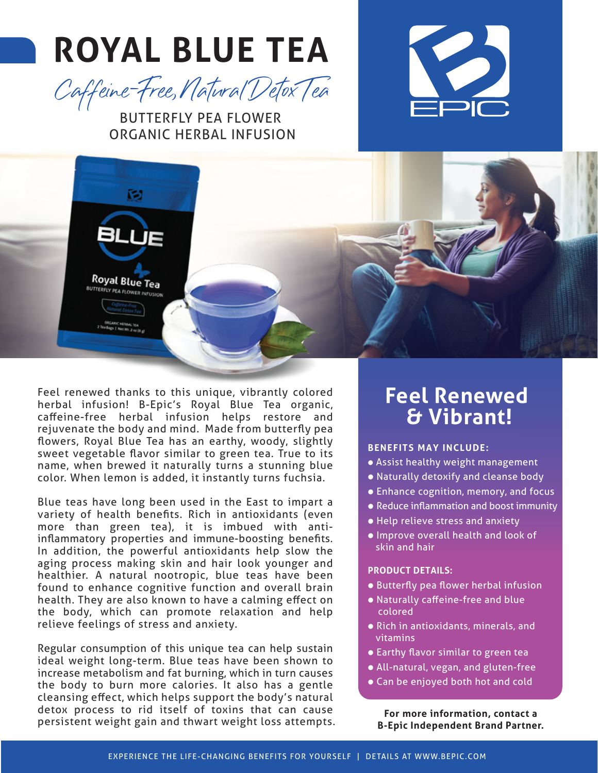# **ROYAL BLUE TEA**



### BUTTERFLY PEA FLOWER ORGANIC HERBAL INFUSION





Feel renewed thanks to this unique, vibrantly colored herbal infusion! B-Epic's Royal Blue Tea organic, caffeine-free herbal infusion helps restore and rejuvenate the body and mind. Made from butterfly pea flowers, Royal Blue Tea has an earthy, woody, slightly sweet vegetable flavor similar to green tea. True to its name, when brewed it naturally turns a stunning blue color. When lemon is added, it instantly turns fuchsia.

Blue teas have long been used in the East to impart a variety of health benefits. Rich in antioxidants (even more than green tea), it is imbued with antiinflammatory properties and immune-boosting benefits. In addition, the powerful antioxidants help slow the aging process making skin and hair look younger and healthier. A natural nootropic, blue teas have been found to enhance cognitive function and overall brain health. They are also known to have a calming effect on the body, which can promote relaxation and help relieve feelings of stress and anxiety.

Regular consumption of this unique tea can help sustain ideal weight long-term. Blue teas have been shown to increase metabolism and fat burning, which in turn causes the body to burn more calories. It also has a gentle cleansing effect, which helps support the body's natural detox process to rid itself of toxins that can cause persistent weight gain and thwart weight loss attempts.

### **Feel Renewed & Vibrant!**

#### **BENEFITS MAY INCLUDE:**

- Assist healthy weight management
- Naturally detoxify and cleanse body
- Enhance cognition, memory, and focus
- Reduce inflammation and boost immunity
- Help relieve stress and anxiety
- Improve overall health and look of skin and hair

#### **PRODUCT DETAILS:**

- Butterfly pea flower herbal infusion
- Naturally caffeine-free and blue colored
- Rich in antioxidants, minerals, and vitamins
- Earthy flavor similar to green tea
- All-natural, vegan, and gluten-free
- Can be enjoyed both hot and cold

**For more information, contact a B-Epic Independent Brand Partner.**